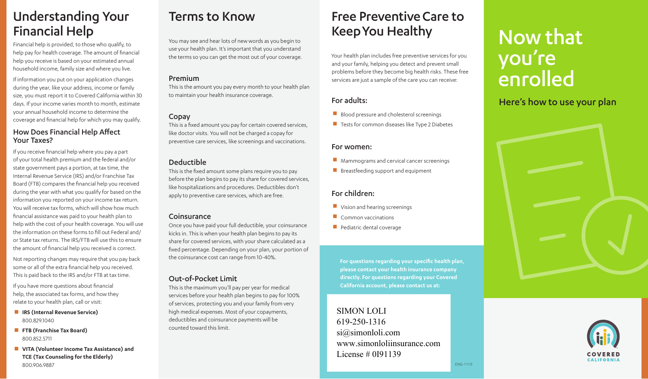# Understanding Your Financial Help

Financial help is provided, to those who qualify, to help pay for health coverage. The amount of financial help you receive is based on your estimated annual household income, family size and where you live.

If information you put on your application changes during the year, like your address, income or family size, you must report it to Covered California within 30 days. If your income varies month to month, estimate your annual household income to determine the coverage and financial help for which you may qualify.

#### How Does Financial Help Affect Your Taxes?

If you receive financial help where you pay a part of your total health premium and the federal and/or state government pays a portion, at tax time, the Internal Revenue Service (IRS) and/or Franchise Tax Board (FTB) compares the financial help you received during the year with what you qualify for based on the information you reported on your income tax return. You will receive tax forms, which will show how much financial assistance was paid to your health plan to help with the cost of your health coverage. You will use the information on these forms to fill out Federal and/ or State tax returns. The IRS/FTB will use this to ensure the amount of financial help you received is correct.

Not reporting changes may require that you pay back some or all of the extra financial help you received. This is paid back to the IRS and/or FTB at tax time.

If you have more questions about financial help, the associated tax forms, and how they relate to your health plan, call or visit:

- **IRS (Internal Revenue Service)** 800.829.1040
- **FTB (Franchise Tax Board)** 800.852.5711
- **N VITA (Volunteer Income Tax Assistance) and TCE (Tax Counseling for the Elderly)** 800.906.9887

# Terms to Know

You may see and hear lots of new words as you begin to use your health plan. It's important that you understand the terms so you can get the most out of your coverage.

## Premium

This is the amount you pay every month to your health plan to maintain your health insurance coverage.

## Copay

This is a fixed amount you pay for certain covered services, like doctor visits. You will not be charged a copay for preventive care services, like screenings and vaccinations.

# Deductible

This is the fixed amount some plans require you to pay before the plan begins to pay its share for covered services, like hospitalizations and procedures. Deductibles don't apply to preventive care services, which are free.

## **Coinsurance**

Once you have paid your full deductible, your coinsurance kicks in. This is when your health plan begins to pay its share for covered services, with your share calculated as a fixed percentage. Depending on your plan, your portion of the coinsurance cost can range from 10-40%.

## Out-of-Pocket Limit

This is the maximum you'll pay per year for medical services before your health plan begins to pay for 100% of services, protecting you and your family from very high medical expenses. Most of your copayments, deductibles and coinsurance payments will be counted toward this limit.

# Free Preventive Care to Keep You Healthy

Your health plan includes free preventive services for you and your family, helping you detect and prevent small problems before they become big health risks. These free services are just a sample of the care you can receive:

# For adults:

- $\blacksquare$  Blood pressure and cholesterol screenings
- $\blacksquare$  Tests for common diseases like Type 2 Diabetes

## For women:

- $\blacksquare$  Mammograms and cervical cancer screenings
- $\blacksquare$  Breastfeeding support and equipment

## For children:

- $\blacksquare$  Vision and hearing screenings
- $\blacksquare$  Common vaccinations
- $\blacksquare$  Pediatric dental coverage

**For questions regarding your specific health plan, please contact your health insurance company directly. For questions regarding your Covered California account, please contact us at:**

#### $\overline{C}$ www.simonloliinsurance.com  $310$ SIMON LOLI 619-250-1316 si@simonloli.com License # 0I91139

# Now that you're enrolled

# Here's how to use your plan